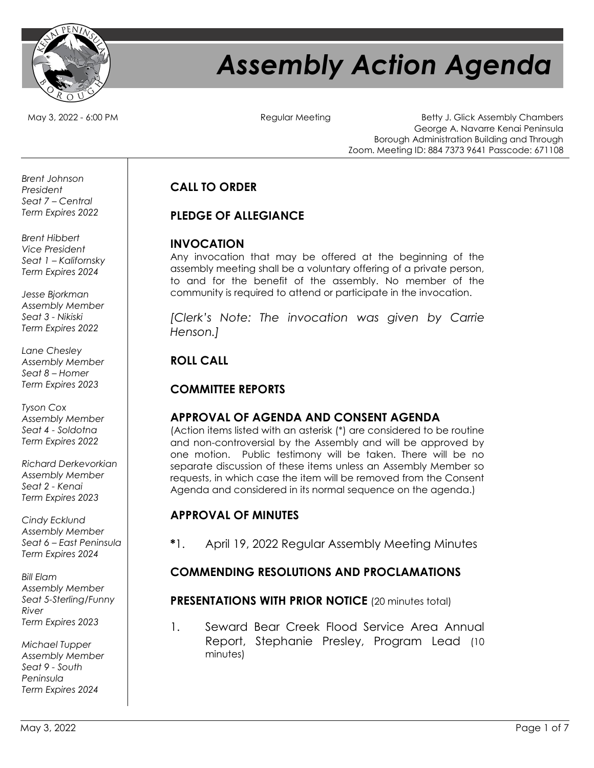

# *Assembly Action Agenda*

May 3, 2022 - 6:00 PM  $\qquad \qquad$  Regular Meeting Betty J. Glick Assembly Chambers George A. Navarre Kenai Peninsula Borough Administration Building and Through Zoom. Meeting ID: 884 7373 9641 Passcode: 671108

# **CALL TO ORDER**

## **PLEDGE OF ALLEGIANCE**

#### **INVOCATION**

Any invocation that may be offered at the beginning of the assembly meeting shall be a voluntary offering of a private person, to and for the benefit of the assembly. No member of the community is required to attend or participate in the invocation.

*[Clerk's Note: The invocation was given by Carrie Henson.]*

# **ROLL CALL**

### **COMMITTEE REPORTS**

# **APPROVAL OF AGENDA AND CONSENT AGENDA**

(Action items listed with an asterisk (\*) are considered to be routine and non-controversial by the Assembly and will be approved by one motion. Public testimony will be taken. There will be no separate discussion of these items unless an Assembly Member so requests, in which case the item will be removed from the Consent Agenda and considered in its normal sequence on the agenda.)

### **APPROVAL OF MINUTES**

**\***1. April 19, 2022 Regular Assembly Meeting Minutes

### **COMMENDING RESOLUTIONS AND PROCLAMATIONS**

### **PRESENTATIONS WITH PRIOR NOTICE** (20 minutes total)

1. Seward Bear Creek Flood Service Area Annual Report, Stephanie Presley, Program Lead (10 minutes)

*Brent Johnson President Seat 7 – Central Term Expires 2022*

*Brent Hibbert Vice President Seat 1 – Kalifornsky Term Expires 2024*

*Jesse Bjorkman Assembly Member Seat 3 - Nikiski Term Expires 2022*

*Lane Chesley Assembly Member Seat 8 – Homer Term Expires 2023*

*Tyson Cox Assembly Member Seat 4 - Soldotna Term Expires 2022*

*Richard Derkevorkian Assembly Member Seat 2 - Kenai Term Expires 2023*

*Cindy Ecklund Assembly Member Seat 6 – East Peninsula Term Expires 2024*

*Bill Elam Assembly Member Seat 5-Sterling/Funny River Term Expires 2023*

*Michael Tupper Assembly Member Seat 9 - South Peninsula Term Expires 2024*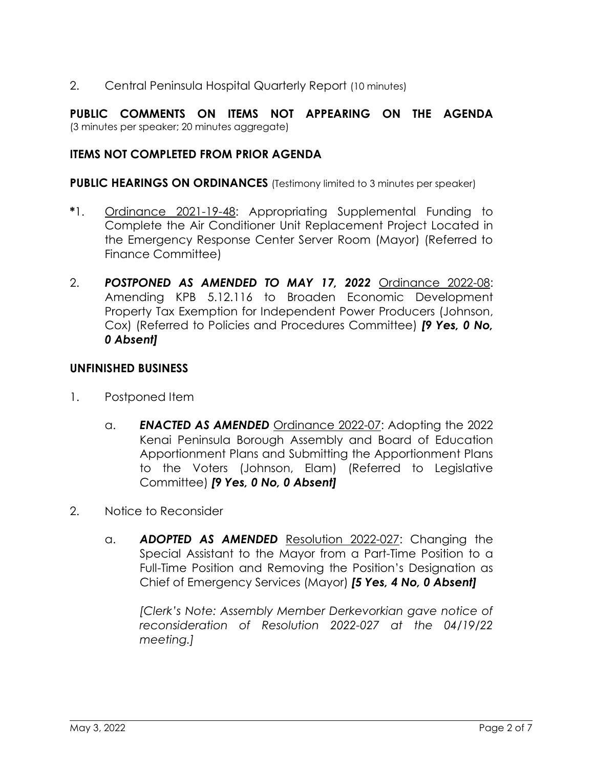2. Central Peninsula Hospital Quarterly Report (10 minutes)

**PUBLIC COMMENTS ON ITEMS NOT APPEARING ON THE AGENDA** (3 minutes per speaker; 20 minutes aggregate)

### **ITEMS NOT COMPLETED FROM PRIOR AGENDA**

**PUBLIC HEARINGS ON ORDINANCES** (Testimony limited to 3 minutes per speaker)

- **\***1. Ordinance 2021-19-48: Appropriating Supplemental Funding to Complete the Air Conditioner Unit Replacement Project Located in the Emergency Response Center Server Room (Mayor) (Referred to Finance Committee)
- 2. *POSTPONED AS AMENDED TO MAY 17, 2022* Ordinance 2022-08: Amending KPB 5.12.116 to Broaden Economic Development Property Tax Exemption for Independent Power Producers (Johnson, Cox) (Referred to Policies and Procedures Committee) *[9 Yes, 0 No, 0 Absent]*

#### **UNFINISHED BUSINESS**

- 1. Postponed Item
	- a. *ENACTED AS AMENDED* Ordinance 2022-07: Adopting the 2022 Kenai Peninsula Borough Assembly and Board of Education Apportionment Plans and Submitting the Apportionment Plans to the Voters (Johnson, Elam) (Referred to Legislative Committee) *[9 Yes, 0 No, 0 Absent]*
- 2. Notice to Reconsider
	- a. *ADOPTED AS AMENDED* Resolution 2022-027: Changing the Special Assistant to the Mayor from a Part-Time Position to a Full-Time Position and Removing the Position's Designation as Chief of Emergency Services (Mayor) *[5 Yes, 4 No, 0 Absent]*

*[Clerk's Note: Assembly Member Derkevorkian gave notice of reconsideration of Resolution 2022-027 at the 04/19/22 meeting.]*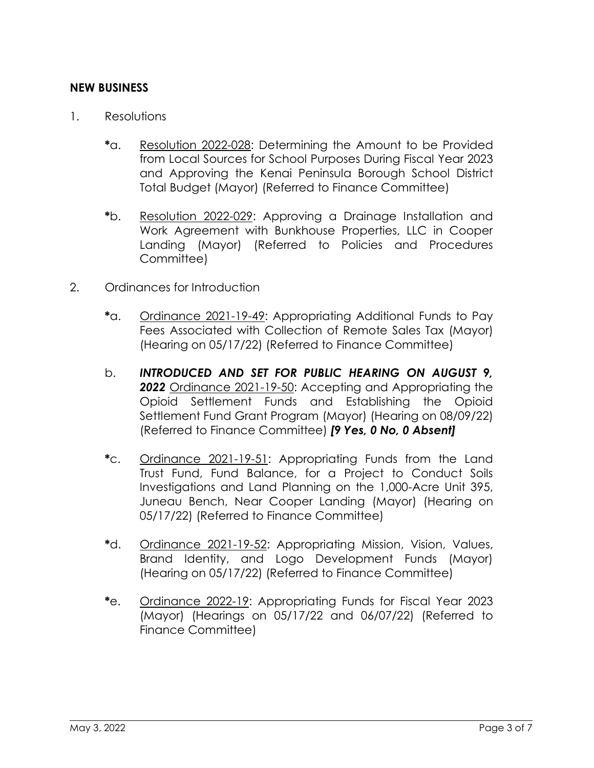#### **NEW BUSINESS**

- 1. Resolutions
	- **\***a. Resolution 2022-028: Determining the Amount to be Provided from Local Sources for School Purposes During Fiscal Year 2023 and Approving the Kenai Peninsula Borough School District Total Budget (Mayor) (Referred to Finance Committee)
	- **\***b. Resolution 2022-029: Approving a Drainage Installation and Work Agreement with Bunkhouse Properties, LLC in Cooper Landing (Mayor) (Referred to Policies and Procedures Committee)
- 2. Ordinances for Introduction
	- **\***a. Ordinance 2021-19-49: Appropriating Additional Funds to Pay Fees Associated with Collection of Remote Sales Tax (Mayor) (Hearing on 05/17/22) (Referred to Finance Committee)
	- b. *INTRODUCED AND SET FOR PUBLIC HEARING ON AUGUST 9, 2022* Ordinance 2021-19-50: Accepting and Appropriating the Opioid Settlement Funds and Establishing the Opioid Settlement Fund Grant Program (Mayor) (Hearing on 08/09/22) (Referred to Finance Committee) *[9 Yes, 0 No, 0 Absent]*
	- **\***c. Ordinance 2021-19-51: Appropriating Funds from the Land Trust Fund, Fund Balance, for a Project to Conduct Soils Investigations and Land Planning on the 1,000-Acre Unit 395, Juneau Bench, Near Cooper Landing (Mayor) (Hearing on 05/17/22) (Referred to Finance Committee)
	- **\***d. Ordinance 2021-19-52: Appropriating Mission, Vision, Values, Brand Identity, and Logo Development Funds (Mayor) (Hearing on 05/17/22) (Referred to Finance Committee)
	- **\***e. Ordinance 2022-19: Appropriating Funds for Fiscal Year 2023 (Mayor) (Hearings on 05/17/22 and 06/07/22) (Referred to Finance Committee)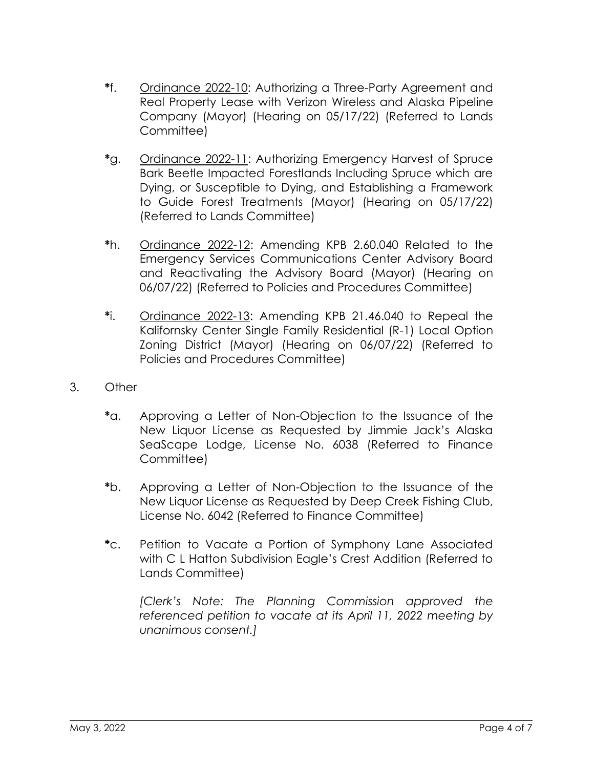- **\***f. Ordinance 2022-10: Authorizing a Three-Party Agreement and Real Property Lease with Verizon Wireless and Alaska Pipeline Company (Mayor) (Hearing on 05/17/22) (Referred to Lands Committee)
- **\***g. Ordinance 2022-11: Authorizing Emergency Harvest of Spruce Bark Beetle Impacted Forestlands Including Spruce which are Dying, or Susceptible to Dying, and Establishing a Framework to Guide Forest Treatments (Mayor) (Hearing on 05/17/22) (Referred to Lands Committee)
- **\***h. Ordinance 2022-12: Amending KPB 2.60.040 Related to the Emergency Services Communications Center Advisory Board and Reactivating the Advisory Board (Mayor) (Hearing on 06/07/22) (Referred to Policies and Procedures Committee)
- **\***i. Ordinance 2022-13: Amending KPB 21.46.040 to Repeal the Kalifornsky Center Single Family Residential (R-1) Local Option Zoning District (Mayor) (Hearing on 06/07/22) (Referred to Policies and Procedures Committee)
- 3. Other
	- **\***a. Approving a Letter of Non-Objection to the Issuance of the New Liquor License as Requested by Jimmie Jack's Alaska SeaScape Lodge, License No. 6038 (Referred to Finance Committee)
	- **\***b. Approving a Letter of Non-Objection to the Issuance of the New Liquor License as Requested by Deep Creek Fishing Club, License No. 6042 (Referred to Finance Committee)
	- **\***c. Petition to Vacate a Portion of Symphony Lane Associated with C L Hatton Subdivision Eagle's Crest Addition (Referred to Lands Committee)

*[Clerk's Note: The Planning Commission approved the referenced petition to vacate at its April 11, 2022 meeting by unanimous consent.]*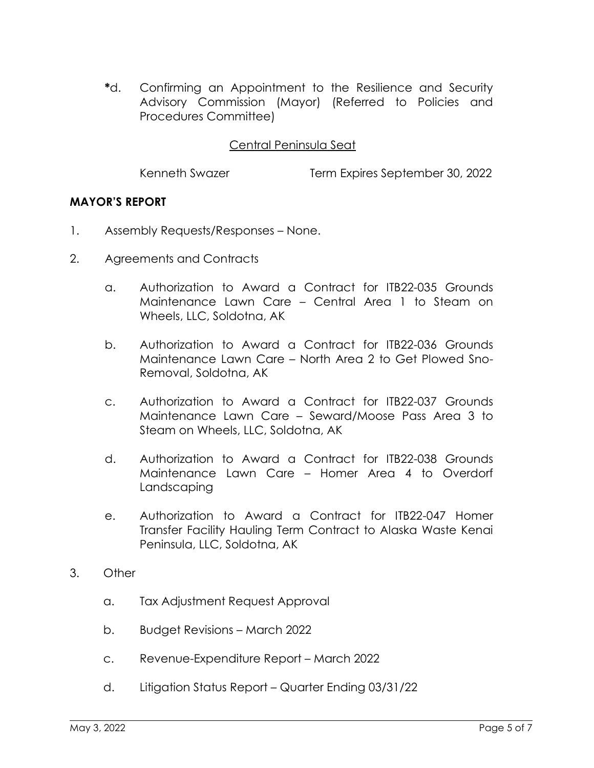**\***d. Confirming an Appointment to the Resilience and Security Advisory Commission (Mayor) (Referred to Policies and Procedures Committee)

#### Central Peninsula Seat

Kenneth Swazer Term Expires September 30, 2022

#### **MAYOR'S REPORT**

- 1. Assembly Requests/Responses None.
- 2. Agreements and Contracts
	- a. Authorization to Award a Contract for ITB22-035 Grounds Maintenance Lawn Care – Central Area 1 to Steam on Wheels, LLC, Soldotna, AK
	- b. Authorization to Award a Contract for ITB22-036 Grounds Maintenance Lawn Care – North Area 2 to Get Plowed Sno-Removal, Soldotna, AK
	- c. Authorization to Award a Contract for ITB22-037 Grounds Maintenance Lawn Care – Seward/Moose Pass Area 3 to Steam on Wheels, LLC, Soldotna, AK
	- d. Authorization to Award a Contract for ITB22-038 Grounds Maintenance Lawn Care – Homer Area 4 to Overdorf Landscaping
	- e. Authorization to Award a Contract for ITB22-047 Homer Transfer Facility Hauling Term Contract to Alaska Waste Kenai Peninsula, LLC, Soldotna, AK
- 3. Other
	- a. Tax Adjustment Request Approval
	- b. Budget Revisions March 2022
	- c. Revenue-Expenditure Report March 2022
	- d. Litigation Status Report Quarter Ending 03/31/22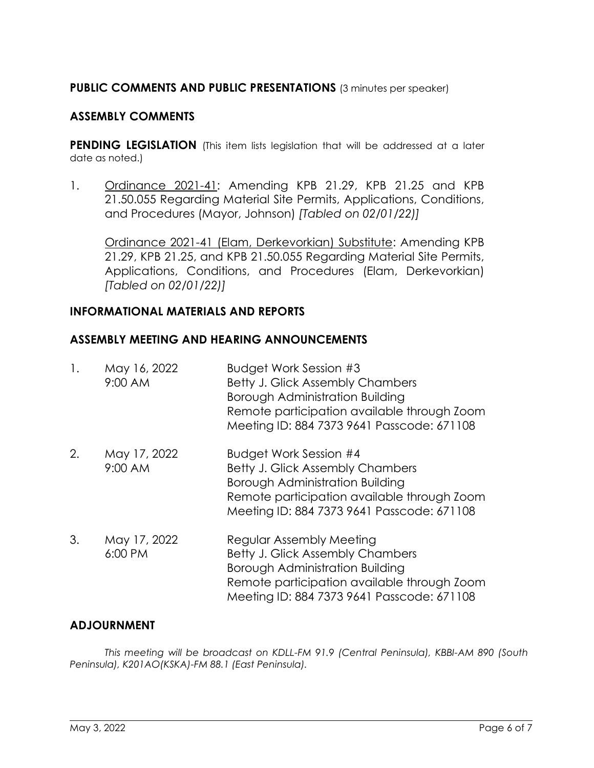#### **PUBLIC COMMENTS AND PUBLIC PRESENTATIONS** (3 minutes per speaker)

#### **ASSEMBLY COMMENTS**

**PENDING LEGISLATION** (This item lists legislation that will be addressed at a later date as noted.)

1. Ordinance 2021-41: Amending KPB 21.29, KPB 21.25 and KPB 21.50.055 Regarding Material Site Permits, Applications, Conditions, and Procedures (Mayor, Johnson) *[Tabled on 02/01/22)]*

Ordinance 2021-41 (Elam, Derkevorkian) Substitute: Amending KPB 21.29, KPB 21.25, and KPB 21.50.055 Regarding Material Site Permits, Applications, Conditions, and Procedures (Elam, Derkevorkian) *[Tabled on 02/01/22)]*

#### **INFORMATIONAL MATERIALS AND REPORTS**

#### **ASSEMBLY MEETING AND HEARING ANNOUNCEMENTS**

| 1. | May 16, 2022<br>$9:00$ AM | Budget Work Session #3<br><b>Betty J. Glick Assembly Chambers</b><br>Borough Administration Building<br>Remote participation available through Zoom<br>Meeting ID: 884 7373 9641 Passcode: 671108          |
|----|---------------------------|------------------------------------------------------------------------------------------------------------------------------------------------------------------------------------------------------------|
| 2. | May 17, 2022<br>9:00 AM   | Budget Work Session #4<br><b>Betty J. Glick Assembly Chambers</b><br>Borough Administration Building<br>Remote participation available through Zoom<br>Meeting ID: 884 7373 9641 Passcode: 671108          |
| 3. | May 17, 2022<br>6:00 PM   | Regular Assembly Meeting<br><b>Betty J. Glick Assembly Chambers</b><br><b>Borough Administration Building</b><br>Remote participation available through Zoom<br>Meeting ID: 884 7373 9641 Passcode: 671108 |

#### **ADJOURNMENT**

*This meeting will be broadcast on KDLL-FM 91.9 (Central Peninsula), KBBI-AM 890 (South Peninsula), K201AO(KSKA)-FM 88.1 (East Peninsula).*